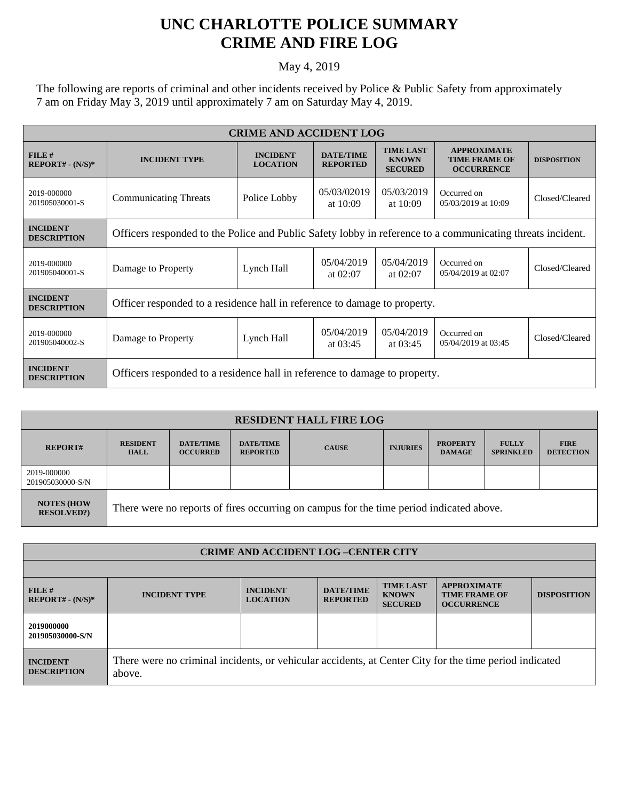## **UNC CHARLOTTE POLICE SUMMARY CRIME AND FIRE LOG**

## May 4, 2019

The following are reports of criminal and other incidents received by Police & Public Safety from approximately 7 am on Friday May 3, 2019 until approximately 7 am on Saturday May 4, 2019.

| <b>CRIME AND ACCIDENT LOG</b>         |                                                                                                            |                                    |                                     |                                                    |                                                                 |                    |  |
|---------------------------------------|------------------------------------------------------------------------------------------------------------|------------------------------------|-------------------------------------|----------------------------------------------------|-----------------------------------------------------------------|--------------------|--|
| $FILE$ #<br>$REPORT# - (N/S)*$        | <b>INCIDENT TYPE</b>                                                                                       | <b>INCIDENT</b><br><b>LOCATION</b> | <b>DATE/TIME</b><br><b>REPORTED</b> | <b>TIME LAST</b><br><b>KNOWN</b><br><b>SECURED</b> | <b>APPROXIMATE</b><br><b>TIME FRAME OF</b><br><b>OCCURRENCE</b> | <b>DISPOSITION</b> |  |
| 2019-000000<br>201905030001-S         | <b>Communicating Threats</b>                                                                               | Police Lobby                       | 05/03/02019<br>at $10:09$           | 05/03/2019<br>at $10:09$                           | Occurred on<br>05/03/2019 at 10:09                              | Closed/Cleared     |  |
| <b>INCIDENT</b><br><b>DESCRIPTION</b> | Officers responded to the Police and Public Safety lobby in reference to a communicating threats incident. |                                    |                                     |                                                    |                                                                 |                    |  |
| 2019-000000<br>201905040001-S         | Damage to Property                                                                                         | Lynch Hall                         | 05/04/2019<br>at $02:07$            | 05/04/2019<br>at $02:07$                           | Occurred on<br>05/04/2019 at 02:07                              | Closed/Cleared     |  |
| <b>INCIDENT</b><br><b>DESCRIPTION</b> | Officer responded to a residence hall in reference to damage to property.                                  |                                    |                                     |                                                    |                                                                 |                    |  |
| 2019-000000<br>201905040002-S         | Damage to Property                                                                                         | Lynch Hall                         | 05/04/2019<br>at $03:45$            | 05/04/2019<br>at $03:45$                           | Occurred on<br>05/04/2019 at 03:45                              | Closed/Cleared     |  |
| <b>INCIDENT</b><br><b>DESCRIPTION</b> | Officers responded to a residence hall in reference to damage to property.                                 |                                    |                                     |                                                    |                                                                 |                    |  |

| <b>RESIDENT HALL FIRE LOG</b>          |                                                                                         |                                     |                                     |              |                 |                                  |                                  |                                 |
|----------------------------------------|-----------------------------------------------------------------------------------------|-------------------------------------|-------------------------------------|--------------|-----------------|----------------------------------|----------------------------------|---------------------------------|
| <b>REPORT#</b>                         | <b>RESIDENT</b><br><b>HALL</b>                                                          | <b>DATE/TIME</b><br><b>OCCURRED</b> | <b>DATE/TIME</b><br><b>REPORTED</b> | <b>CAUSE</b> | <b>INJURIES</b> | <b>PROPERTY</b><br><b>DAMAGE</b> | <b>FULLY</b><br><b>SPRINKLED</b> | <b>FIRE</b><br><b>DETECTION</b> |
| 2019-000000<br>201905030000-S/N        |                                                                                         |                                     |                                     |              |                 |                                  |                                  |                                 |
| <b>NOTES (HOW</b><br><b>RESOLVED?)</b> | There were no reports of fires occurring on campus for the time period indicated above. |                                     |                                     |              |                 |                                  |                                  |                                 |

| <b>CRIME AND ACCIDENT LOG-CENTER CITY</b> |                                                                                                                  |                                    |                                     |                                                    |                                                                 |                    |  |
|-------------------------------------------|------------------------------------------------------------------------------------------------------------------|------------------------------------|-------------------------------------|----------------------------------------------------|-----------------------------------------------------------------|--------------------|--|
|                                           |                                                                                                                  |                                    |                                     |                                                    |                                                                 |                    |  |
| FILE#<br>$REPORT# - (N/S)*$               | <b>INCIDENT TYPE</b>                                                                                             | <b>INCIDENT</b><br><b>LOCATION</b> | <b>DATE/TIME</b><br><b>REPORTED</b> | <b>TIME LAST</b><br><b>KNOWN</b><br><b>SECURED</b> | <b>APPROXIMATE</b><br><b>TIME FRAME OF</b><br><b>OCCURRENCE</b> | <b>DISPOSITION</b> |  |
| 2019000000<br>201905030000-S/N            |                                                                                                                  |                                    |                                     |                                                    |                                                                 |                    |  |
| <b>INCIDENT</b><br><b>DESCRIPTION</b>     | There were no criminal incidents, or vehicular accidents, at Center City for the time period indicated<br>above. |                                    |                                     |                                                    |                                                                 |                    |  |